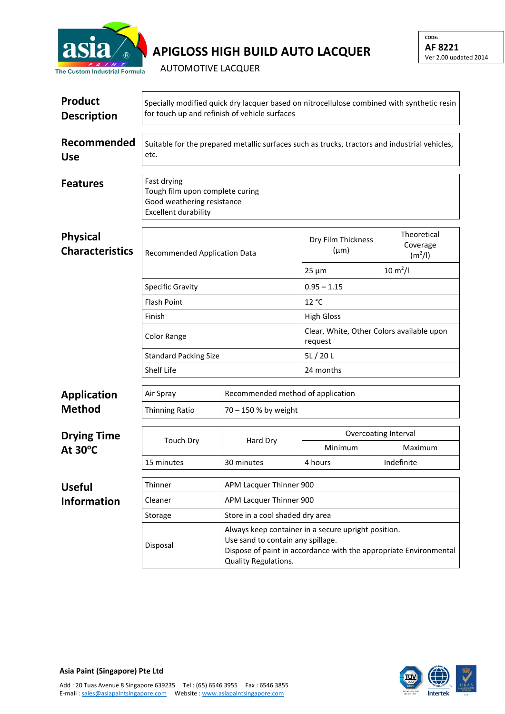

## **APIGLOSS HIGH BUILD AUTO LACQUER**

AUTOMOTIVE LACQUER

| <b>Product</b><br><b>Description</b>                                             | Specially modified quick dry lacquer based on nitrocellulose combined with synthetic resin<br>for touch up and refinish of vehicle surfaces |                                                                                                                                                                                       |                                                      |                                                |  |  |
|----------------------------------------------------------------------------------|---------------------------------------------------------------------------------------------------------------------------------------------|---------------------------------------------------------------------------------------------------------------------------------------------------------------------------------------|------------------------------------------------------|------------------------------------------------|--|--|
| Recommended<br><b>Use</b>                                                        | Suitable for the prepared metallic surfaces such as trucks, tractors and industrial vehicles,<br>etc.                                       |                                                                                                                                                                                       |                                                      |                                                |  |  |
| <b>Features</b>                                                                  | Fast drying<br>Tough film upon complete curing<br>Good weathering resistance<br><b>Excellent durability</b>                                 |                                                                                                                                                                                       |                                                      |                                                |  |  |
| <b>Physical</b><br><b>Characteristics</b><br><b>Recommended Application Data</b> |                                                                                                                                             |                                                                                                                                                                                       | Dry Film Thickness<br>$(\mu m)$                      | Theoretical<br>Coverage<br>(m <sup>2</sup> /I) |  |  |
|                                                                                  |                                                                                                                                             |                                                                                                                                                                                       | $25 \mu m$                                           | $10 \, \text{m}^2$ /l                          |  |  |
|                                                                                  | <b>Specific Gravity</b><br><b>Flash Point</b>                                                                                               |                                                                                                                                                                                       | $0.95 - 1.15$                                        |                                                |  |  |
|                                                                                  |                                                                                                                                             |                                                                                                                                                                                       | 12 °C                                                |                                                |  |  |
|                                                                                  | Finish                                                                                                                                      |                                                                                                                                                                                       | <b>High Gloss</b>                                    |                                                |  |  |
|                                                                                  | <b>Color Range</b><br><b>Standard Packing Size</b><br>Shelf Life                                                                            |                                                                                                                                                                                       | Clear, White, Other Colors available upon<br>request |                                                |  |  |
|                                                                                  |                                                                                                                                             |                                                                                                                                                                                       | 5L/20L                                               |                                                |  |  |
|                                                                                  |                                                                                                                                             |                                                                                                                                                                                       | 24 months                                            |                                                |  |  |
| <b>Application</b>                                                               | Air Spray                                                                                                                                   |                                                                                                                                                                                       | Recommended method of application                    |                                                |  |  |
| <b>Method</b>                                                                    | <b>Thinning Ratio</b>                                                                                                                       | 70 - 150 % by weight                                                                                                                                                                  |                                                      |                                                |  |  |
| <b>Drying Time</b><br>At $30^{\circ}$ C                                          |                                                                                                                                             |                                                                                                                                                                                       | <b>Overcoating Interval</b>                          |                                                |  |  |
|                                                                                  | <b>Touch Dry</b>                                                                                                                            | Hard Dry                                                                                                                                                                              | Minimum                                              | Maximum                                        |  |  |
|                                                                                  | 15 minutes                                                                                                                                  | 30 minutes                                                                                                                                                                            | 4 hours                                              | Indefinite                                     |  |  |
| <b>Useful</b>                                                                    | Thinner                                                                                                                                     | APM Lacquer Thinner 900                                                                                                                                                               |                                                      |                                                |  |  |
| <b>Information</b>                                                               | Cleaner                                                                                                                                     | APM Lacquer Thinner 900                                                                                                                                                               |                                                      |                                                |  |  |
|                                                                                  | Storage                                                                                                                                     | Store in a cool shaded dry area                                                                                                                                                       |                                                      |                                                |  |  |
|                                                                                  | Disposal                                                                                                                                    | Always keep container in a secure upright position.<br>Use sand to contain any spillage.<br>Dispose of paint in accordance with the appropriate Environmental<br>Quality Regulations. |                                                      |                                                |  |  |